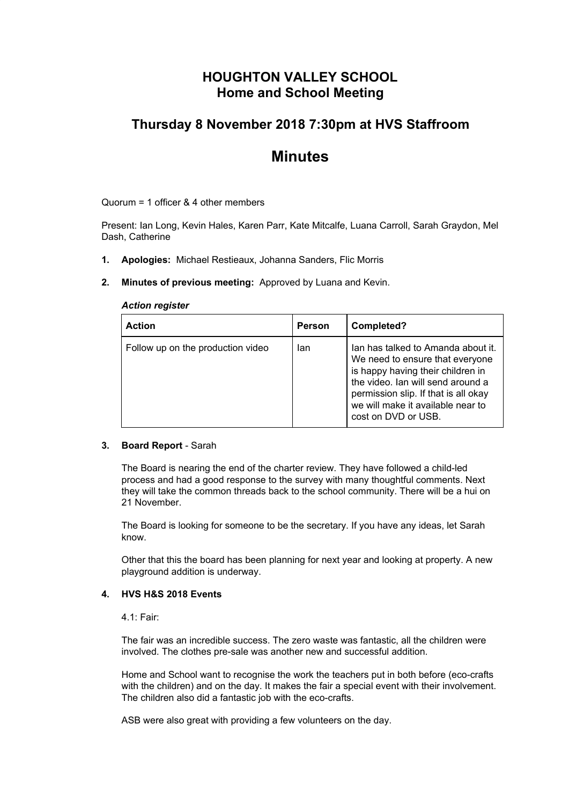# **HOUGHTON VALLEY SCHOOL Home and School Meeting**

## **Thursday 8 November 2018 7:30pm at HVS Staffroom**

# **Minutes**

Quorum = 1 officer & 4 other members

Present: Ian Long, Kevin Hales, Karen Parr, Kate Mitcalfe, Luana Carroll, Sarah Graydon, Mel Dash, Catherine

- **1. Apologies:** Michael Restieaux, Johanna Sanders, Flic Morris
- **2. Minutes of previous meeting:** Approved by Luana and Kevin.

#### *Action register*

| <b>Action</b>                     | <b>Person</b> | Completed?                                                                                                                                                                                                                                          |
|-----------------------------------|---------------|-----------------------------------------------------------------------------------------------------------------------------------------------------------------------------------------------------------------------------------------------------|
| Follow up on the production video | lan           | Ian has talked to Amanda about it.<br>We need to ensure that everyone<br>is happy having their children in<br>the video. Ian will send around a<br>permission slip. If that is all okay<br>we will make it available near to<br>cost on DVD or USB. |

#### **3. Board Report** - Sarah

The Board is nearing the end of the charter review. They have followed a child-led process and had a good response to the survey with many thoughtful comments. Next they will take the common threads back to the school community. There will be a hui on 21 November.

The Board is looking for someone to be the secretary. If you have any ideas, let Sarah know.

Other that this the board has been planning for next year and looking at property. A new playground addition is underway.

#### **4. HVS H&S 2018 Events**

4.1: Fair:

The fair was an incredible success. The zero waste was fantastic, all the children were involved. The clothes pre-sale was another new and successful addition.

Home and School want to recognise the work the teachers put in both before (eco-crafts with the children) and on the day. It makes the fair a special event with their involvement. The children also did a fantastic job with the eco-crafts.

ASB were also great with providing a few volunteers on the day.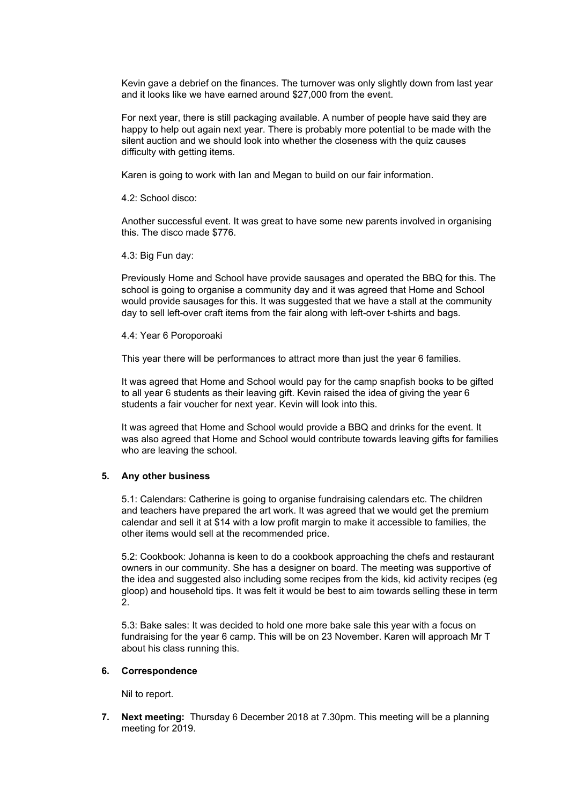Kevin gave a debrief on the finances. The turnover was only slightly down from last year and it looks like we have earned around \$27,000 from the event.

For next year, there is still packaging available. A number of people have said they are happy to help out again next year. There is probably more potential to be made with the silent auction and we should look into whether the closeness with the quiz causes difficulty with getting items.

Karen is going to work with Ian and Megan to build on our fair information.

4.2: School disco:

Another successful event. It was great to have some new parents involved in organising this. The disco made \$776.

4.3: Big Fun day:

Previously Home and School have provide sausages and operated the BBQ for this. The school is going to organise a community day and it was agreed that Home and School would provide sausages for this. It was suggested that we have a stall at the community day to sell left-over craft items from the fair along with left-over t-shirts and bags.

4.4: Year 6 Poroporoaki

This year there will be performances to attract more than just the year 6 families.

It was agreed that Home and School would pay for the camp snapfish books to be gifted to all year 6 students as their leaving gift. Kevin raised the idea of giving the year 6 students a fair voucher for next year. Kevin will look into this.

It was agreed that Home and School would provide a BBQ and drinks for the event. It was also agreed that Home and School would contribute towards leaving gifts for families who are leaving the school.

#### **5. Any other business**

5.1: Calendars: Catherine is going to organise fundraising calendars etc. The children and teachers have prepared the art work. It was agreed that we would get the premium calendar and sell it at \$14 with a low profit margin to make it accessible to families, the other items would sell at the recommended price.

5.2: Cookbook: Johanna is keen to do a cookbook approaching the chefs and restaurant owners in our community. She has a designer on board. The meeting was supportive of the idea and suggested also including some recipes from the kids, kid activity recipes (eg gloop) and household tips. It was felt it would be best to aim towards selling these in term 2.

5.3: Bake sales: It was decided to hold one more bake sale this year with a focus on fundraising for the year 6 camp. This will be on 23 November. Karen will approach Mr T about his class running this.

#### **6. Correspondence**

Nil to report.

**7. Next meeting:** Thursday 6 December 2018 at 7.30pm. This meeting will be a planning meeting for 2019.